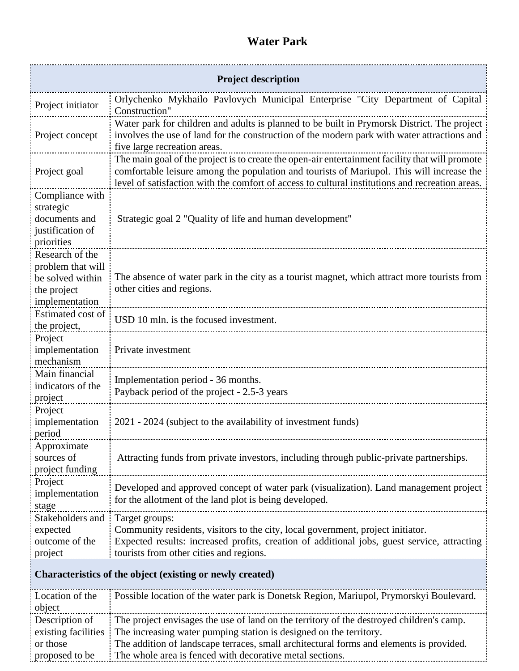## **Water Park**

| <b>Project description</b>                                                                |                                                                                                                                                                                                                                                                                                 |
|-------------------------------------------------------------------------------------------|-------------------------------------------------------------------------------------------------------------------------------------------------------------------------------------------------------------------------------------------------------------------------------------------------|
| Project initiator                                                                         | Orlychenko Mykhailo Pavlovych Municipal Enterprise "City Department of Capital<br>Construction"                                                                                                                                                                                                 |
| Project concept                                                                           | Water park for children and adults is planned to be built in Prymorsk District. The project<br>involves the use of land for the construction of the modern park with water attractions and<br>five large recreation areas.                                                                      |
| Project goal                                                                              | The main goal of the project is to create the open-air entertainment facility that will promote<br>comfortable leisure among the population and tourists of Mariupol. This will increase the<br>level of satisfaction with the comfort of access to cultural institutions and recreation areas. |
| Compliance with<br>strategic<br>documents and<br>justification of<br>priorities           | Strategic goal 2 "Quality of life and human development"                                                                                                                                                                                                                                        |
| Research of the<br>problem that will<br>be solved within<br>the project<br>implementation | The absence of water park in the city as a tourist magnet, which attract more tourists from<br>other cities and regions.                                                                                                                                                                        |
| Estimated cost of<br>the project,                                                         | USD 10 mln. is the focused investment.                                                                                                                                                                                                                                                          |
| Project<br>implementation<br>mechanism                                                    | Private investment                                                                                                                                                                                                                                                                              |
| Main financial<br>indicators of the<br>project                                            | Implementation period - 36 months.<br>Payback period of the project - 2.5-3 years                                                                                                                                                                                                               |
| Project<br>implementation<br>period                                                       | 2021 - 2024 (subject to the availability of investment funds)                                                                                                                                                                                                                                   |
| Approximate<br>sources of<br>project funding                                              | Attracting funds from private investors, including through public-private partnerships.                                                                                                                                                                                                         |
| Project<br>implementation<br>stage                                                        | Developed and approved concept of water park (visualization). Land management project<br>for the allotment of the land plot is being developed.                                                                                                                                                 |
| Stakeholders and<br>expected<br>outcome of the<br>project                                 | Target groups:<br>Community residents, visitors to the city, local government, project initiator.<br>Expected results: increased profits, creation of additional jobs, guest service, attracting<br>tourists from other cities and regions.                                                     |
| Characteristics of the object (existing or newly created)                                 |                                                                                                                                                                                                                                                                                                 |
| Location of the<br>object                                                                 | Possible location of the water park is Donetsk Region, Mariupol, Prymorskyi Boulevard.                                                                                                                                                                                                          |
| Description of<br>existing facilities<br>or those                                         | The project envisages the use of land on the territory of the destroyed children's camp.<br>The increasing water pumping station is designed on the territory.<br>The addition of landscape terraces, small architectural forms and elements is provided.                                       |

The whole area is fenced with decorative metal sections.

proposed to be